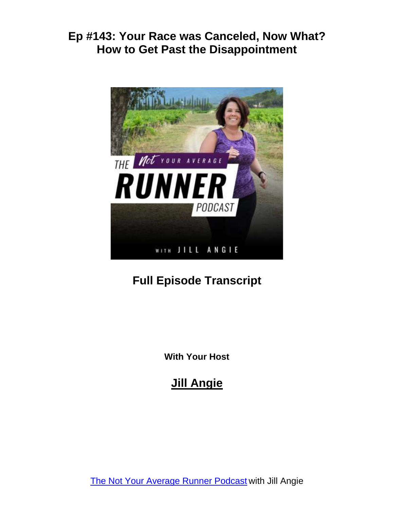

# **Full Episode Transcript**

**With Your Host**

# **Jill Angie**

The Not Your [Average](http://notyouraveragerunner.com/podcast/) Runner Podcast with Jill Angie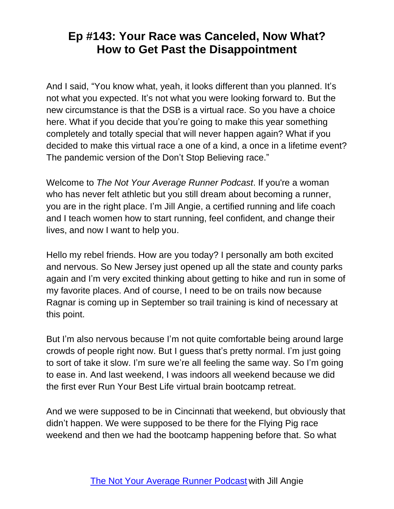And I said, "You know what, yeah, it looks different than you planned. It's not what you expected. It's not what you were looking forward to. But the new circumstance is that the DSB is a virtual race. So you have a choice here. What if you decide that you're going to make this year something completely and totally special that will never happen again? What if you decided to make this virtual race a one of a kind, a once in a lifetime event? The pandemic version of the Don't Stop Believing race."

Welcome to *The Not Your Average Runner Podcast*. If you're a woman who has never felt athletic but you still dream about becoming a runner, you are in the right place. I'm Jill Angie, a certified running and life coach and I teach women how to start running, feel confident, and change their lives, and now I want to help you.

Hello my rebel friends. How are you today? I personally am both excited and nervous. So New Jersey just opened up all the state and county parks again and I'm very excited thinking about getting to hike and run in some of my favorite places. And of course, I need to be on trails now because Ragnar is coming up in September so trail training is kind of necessary at this point.

But I'm also nervous because I'm not quite comfortable being around large crowds of people right now. But I guess that's pretty normal. I'm just going to sort of take it slow. I'm sure we're all feeling the same way. So I'm going to ease in. And last weekend, I was indoors all weekend because we did the first ever Run Your Best Life virtual brain bootcamp retreat.

And we were supposed to be in Cincinnati that weekend, but obviously that didn't happen. We were supposed to be there for the Flying Pig race weekend and then we had the bootcamp happening before that. So what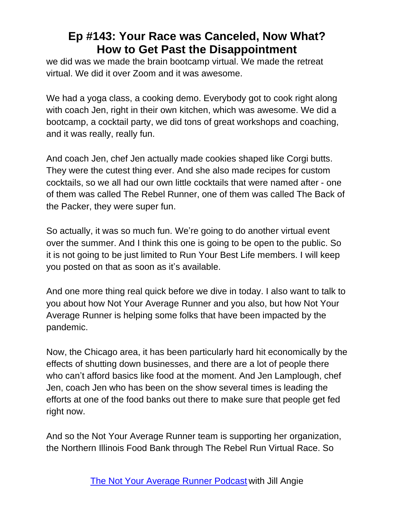we did was we made the brain bootcamp virtual. We made the retreat virtual. We did it over Zoom and it was awesome.

We had a yoga class, a cooking demo. Everybody got to cook right along with coach Jen, right in their own kitchen, which was awesome. We did a bootcamp, a cocktail party, we did tons of great workshops and coaching, and it was really, really fun.

And coach Jen, chef Jen actually made cookies shaped like Corgi butts. They were the cutest thing ever. And she also made recipes for custom cocktails, so we all had our own little cocktails that were named after - one of them was called The Rebel Runner, one of them was called The Back of the Packer, they were super fun.

So actually, it was so much fun. We're going to do another virtual event over the summer. And I think this one is going to be open to the public. So it is not going to be just limited to Run Your Best Life members. I will keep you posted on that as soon as it's available.

And one more thing real quick before we dive in today. I also want to talk to you about how Not Your Average Runner and you also, but how Not Your Average Runner is helping some folks that have been impacted by the pandemic.

Now, the Chicago area, it has been particularly hard hit economically by the effects of shutting down businesses, and there are a lot of people there who can't afford basics like food at the moment. And Jen Lamplough, chef Jen, coach Jen who has been on the show several times is leading the efforts at one of the food banks out there to make sure that people get fed right now.

And so the Not Your Average Runner team is supporting her organization, the Northern Illinois Food Bank through The Rebel Run Virtual Race. So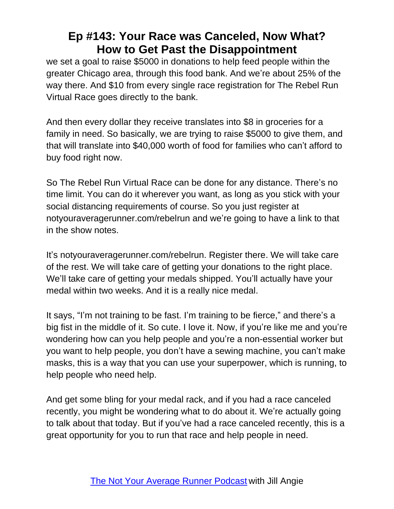we set a goal to raise \$5000 in donations to help feed people within the greater Chicago area, through this food bank. And we're about 25% of the way there. And \$10 from every single race registration for The Rebel Run Virtual Race goes directly to the bank.

And then every dollar they receive translates into \$8 in groceries for a family in need. So basically, we are trying to raise \$5000 to give them, and that will translate into \$40,000 worth of food for families who can't afford to buy food right now.

So The Rebel Run Virtual Race can be done for any distance. There's no time limit. You can do it wherever you want, as long as you stick with your social distancing requirements of course. So you just register at notyouraveragerunner.com/rebelrun and we're going to have a link to that in the show notes.

It's notyouraveragerunner.com/rebelrun. Register there. We will take care of the rest. We will take care of getting your donations to the right place. We'll take care of getting your medals shipped. You'll actually have your medal within two weeks. And it is a really nice medal.

It says, "I'm not training to be fast. I'm training to be fierce," and there's a big fist in the middle of it. So cute. I love it. Now, if you're like me and you're wondering how can you help people and you're a non-essential worker but you want to help people, you don't have a sewing machine, you can't make masks, this is a way that you can use your superpower, which is running, to help people who need help.

And get some bling for your medal rack, and if you had a race canceled recently, you might be wondering what to do about it. We're actually going to talk about that today. But if you've had a race canceled recently, this is a great opportunity for you to run that race and help people in need.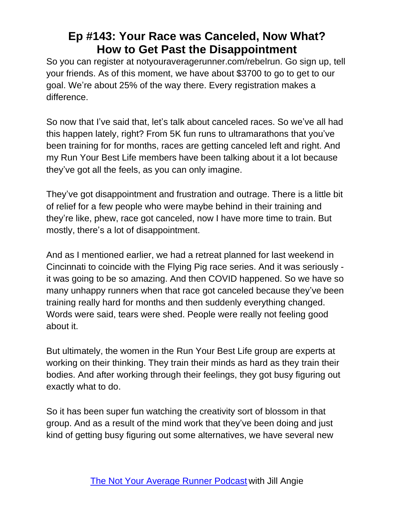So you can register at notyouraveragerunner.com/rebelrun. Go sign up, tell your friends. As of this moment, we have about \$3700 to go to get to our goal. We're about 25% of the way there. Every registration makes a difference.

So now that I've said that, let's talk about canceled races. So we've all had this happen lately, right? From 5K fun runs to ultramarathons that you've been training for for months, races are getting canceled left and right. And my Run Your Best Life members have been talking about it a lot because they've got all the feels, as you can only imagine.

They've got disappointment and frustration and outrage. There is a little bit of relief for a few people who were maybe behind in their training and they're like, phew, race got canceled, now I have more time to train. But mostly, there's a lot of disappointment.

And as I mentioned earlier, we had a retreat planned for last weekend in Cincinnati to coincide with the Flying Pig race series. And it was seriously it was going to be so amazing. And then COVID happened. So we have so many unhappy runners when that race got canceled because they've been training really hard for months and then suddenly everything changed. Words were said, tears were shed. People were really not feeling good about it.

But ultimately, the women in the Run Your Best Life group are experts at working on their thinking. They train their minds as hard as they train their bodies. And after working through their feelings, they got busy figuring out exactly what to do.

So it has been super fun watching the creativity sort of blossom in that group. And as a result of the mind work that they've been doing and just kind of getting busy figuring out some alternatives, we have several new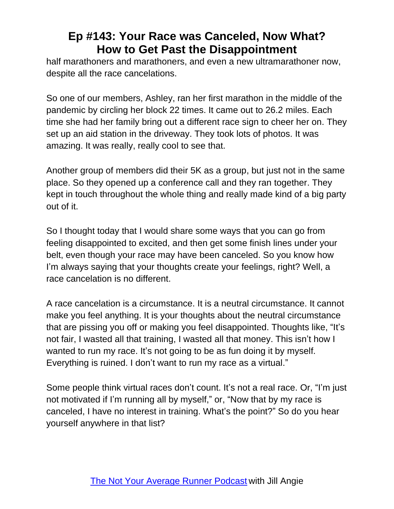half marathoners and marathoners, and even a new ultramarathoner now, despite all the race cancelations.

So one of our members, Ashley, ran her first marathon in the middle of the pandemic by circling her block 22 times. It came out to 26.2 miles. Each time she had her family bring out a different race sign to cheer her on. They set up an aid station in the driveway. They took lots of photos. It was amazing. It was really, really cool to see that.

Another group of members did their 5K as a group, but just not in the same place. So they opened up a conference call and they ran together. They kept in touch throughout the whole thing and really made kind of a big party out of it.

So I thought today that I would share some ways that you can go from feeling disappointed to excited, and then get some finish lines under your belt, even though your race may have been canceled. So you know how I'm always saying that your thoughts create your feelings, right? Well, a race cancelation is no different.

A race cancelation is a circumstance. It is a neutral circumstance. It cannot make you feel anything. It is your thoughts about the neutral circumstance that are pissing you off or making you feel disappointed. Thoughts like, "It's not fair, I wasted all that training, I wasted all that money. This isn't how I wanted to run my race. It's not going to be as fun doing it by myself. Everything is ruined. I don't want to run my race as a virtual."

Some people think virtual races don't count. It's not a real race. Or, "I'm just not motivated if I'm running all by myself," or, "Now that by my race is canceled, I have no interest in training. What's the point?" So do you hear yourself anywhere in that list?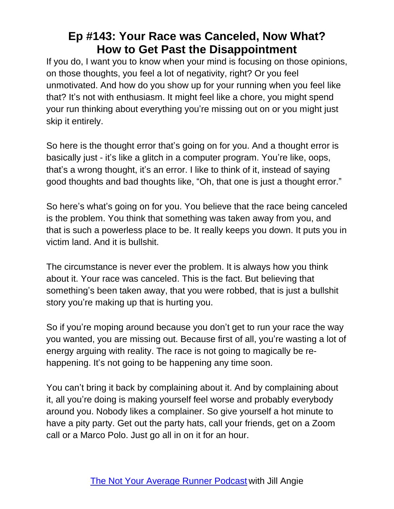If you do, I want you to know when your mind is focusing on those opinions, on those thoughts, you feel a lot of negativity, right? Or you feel unmotivated. And how do you show up for your running when you feel like that? It's not with enthusiasm. It might feel like a chore, you might spend your run thinking about everything you're missing out on or you might just skip it entirely.

So here is the thought error that's going on for you. And a thought error is basically just - it's like a glitch in a computer program. You're like, oops, that's a wrong thought, it's an error. I like to think of it, instead of saying good thoughts and bad thoughts like, "Oh, that one is just a thought error."

So here's what's going on for you. You believe that the race being canceled is the problem. You think that something was taken away from you, and that is such a powerless place to be. It really keeps you down. It puts you in victim land. And it is bullshit.

The circumstance is never ever the problem. It is always how you think about it. Your race was canceled. This is the fact. But believing that something's been taken away, that you were robbed, that is just a bullshit story you're making up that is hurting you.

So if you're moping around because you don't get to run your race the way you wanted, you are missing out. Because first of all, you're wasting a lot of energy arguing with reality. The race is not going to magically be rehappening. It's not going to be happening any time soon.

You can't bring it back by complaining about it. And by complaining about it, all you're doing is making yourself feel worse and probably everybody around you. Nobody likes a complainer. So give yourself a hot minute to have a pity party. Get out the party hats, call your friends, get on a Zoom call or a Marco Polo. Just go all in on it for an hour.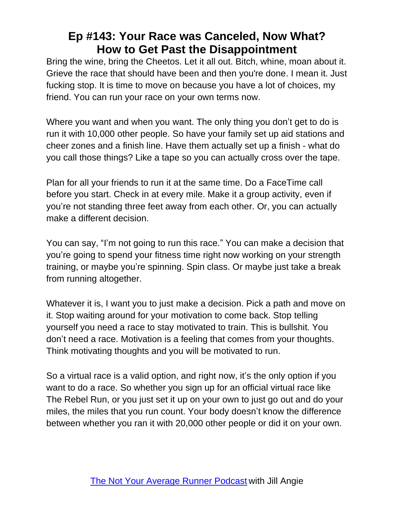Bring the wine, bring the Cheetos. Let it all out. Bitch, whine, moan about it. Grieve the race that should have been and then you're done. I mean it. Just fucking stop. It is time to move on because you have a lot of choices, my friend. You can run your race on your own terms now.

Where you want and when you want. The only thing you don't get to do is run it with 10,000 other people. So have your family set up aid stations and cheer zones and a finish line. Have them actually set up a finish - what do you call those things? Like a tape so you can actually cross over the tape.

Plan for all your friends to run it at the same time. Do a FaceTime call before you start. Check in at every mile. Make it a group activity, even if you're not standing three feet away from each other. Or, you can actually make a different decision.

You can say, "I'm not going to run this race." You can make a decision that you're going to spend your fitness time right now working on your strength training, or maybe you're spinning. Spin class. Or maybe just take a break from running altogether.

Whatever it is, I want you to just make a decision. Pick a path and move on it. Stop waiting around for your motivation to come back. Stop telling yourself you need a race to stay motivated to train. This is bullshit. You don't need a race. Motivation is a feeling that comes from your thoughts. Think motivating thoughts and you will be motivated to run.

So a virtual race is a valid option, and right now, it's the only option if you want to do a race. So whether you sign up for an official virtual race like The Rebel Run, or you just set it up on your own to just go out and do your miles, the miles that you run count. Your body doesn't know the difference between whether you ran it with 20,000 other people or did it on your own.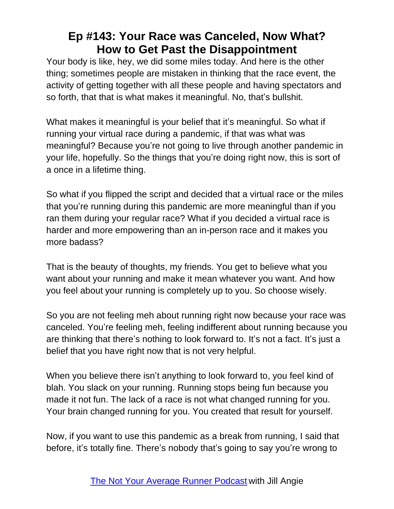Your body is like, hey, we did some miles today. And here is the other thing; sometimes people are mistaken in thinking that the race event, the activity of getting together with all these people and having spectators and so forth, that that is what makes it meaningful. No, that's bullshit.

What makes it meaningful is your belief that it's meaningful. So what if running your virtual race during a pandemic, if that was what was meaningful? Because you're not going to live through another pandemic in your life, hopefully. So the things that you're doing right now, this is sort of a once in a lifetime thing.

So what if you flipped the script and decided that a virtual race or the miles that you're running during this pandemic are more meaningful than if you ran them during your regular race? What if you decided a virtual race is harder and more empowering than an in-person race and it makes you more badass?

That is the beauty of thoughts, my friends. You get to believe what you want about your running and make it mean whatever you want. And how you feel about your running is completely up to you. So choose wisely.

So you are not feeling meh about running right now because your race was canceled. You're feeling meh, feeling indifferent about running because you are thinking that there's nothing to look forward to. It's not a fact. It's just a belief that you have right now that is not very helpful.

When you believe there isn't anything to look forward to, you feel kind of blah. You slack on your running. Running stops being fun because you made it not fun. The lack of a race is not what changed running for you. Your brain changed running for you. You created that result for yourself.

Now, if you want to use this pandemic as a break from running, I said that before, it's totally fine. There's nobody that's going to say you're wrong to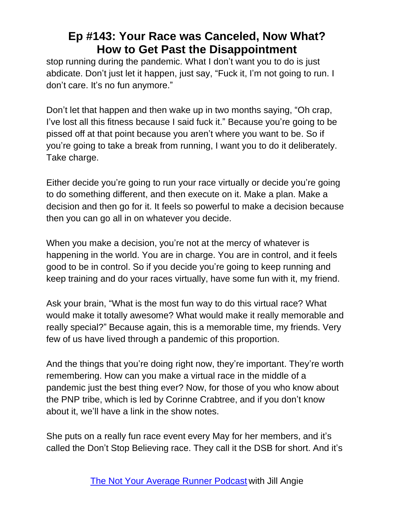stop running during the pandemic. What I don't want you to do is just abdicate. Don't just let it happen, just say, "Fuck it, I'm not going to run. I don't care. It's no fun anymore."

Don't let that happen and then wake up in two months saying, "Oh crap, I've lost all this fitness because I said fuck it." Because you're going to be pissed off at that point because you aren't where you want to be. So if you're going to take a break from running, I want you to do it deliberately. Take charge.

Either decide you're going to run your race virtually or decide you're going to do something different, and then execute on it. Make a plan. Make a decision and then go for it. It feels so powerful to make a decision because then you can go all in on whatever you decide.

When you make a decision, you're not at the mercy of whatever is happening in the world. You are in charge. You are in control, and it feels good to be in control. So if you decide you're going to keep running and keep training and do your races virtually, have some fun with it, my friend.

Ask your brain, "What is the most fun way to do this virtual race? What would make it totally awesome? What would make it really memorable and really special?" Because again, this is a memorable time, my friends. Very few of us have lived through a pandemic of this proportion.

And the things that you're doing right now, they're important. They're worth remembering. How can you make a virtual race in the middle of a pandemic just the best thing ever? Now, for those of you who know about the PNP tribe, which is led by Corinne Crabtree, and if you don't know about it, we'll have a link in the show notes.

She puts on a really fun race event every May for her members, and it's called the Don't Stop Believing race. They call it the DSB for short. And it's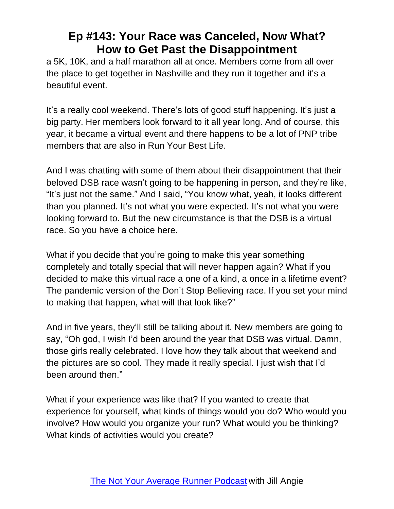a 5K, 10K, and a half marathon all at once. Members come from all over the place to get together in Nashville and they run it together and it's a beautiful event.

It's a really cool weekend. There's lots of good stuff happening. It's just a big party. Her members look forward to it all year long. And of course, this year, it became a virtual event and there happens to be a lot of PNP tribe members that are also in Run Your Best Life.

And I was chatting with some of them about their disappointment that their beloved DSB race wasn't going to be happening in person, and they're like, "It's just not the same." And I said, "You know what, yeah, it looks different than you planned. It's not what you were expected. It's not what you were looking forward to. But the new circumstance is that the DSB is a virtual race. So you have a choice here.

What if you decide that you're going to make this year something completely and totally special that will never happen again? What if you decided to make this virtual race a one of a kind, a once in a lifetime event? The pandemic version of the Don't Stop Believing race. If you set your mind to making that happen, what will that look like?"

And in five years, they'll still be talking about it. New members are going to say, "Oh god, I wish I'd been around the year that DSB was virtual. Damn, those girls really celebrated. I love how they talk about that weekend and the pictures are so cool. They made it really special. I just wish that I'd been around then."

What if your experience was like that? If you wanted to create that experience for yourself, what kinds of things would you do? Who would you involve? How would you organize your run? What would you be thinking? What kinds of activities would you create?